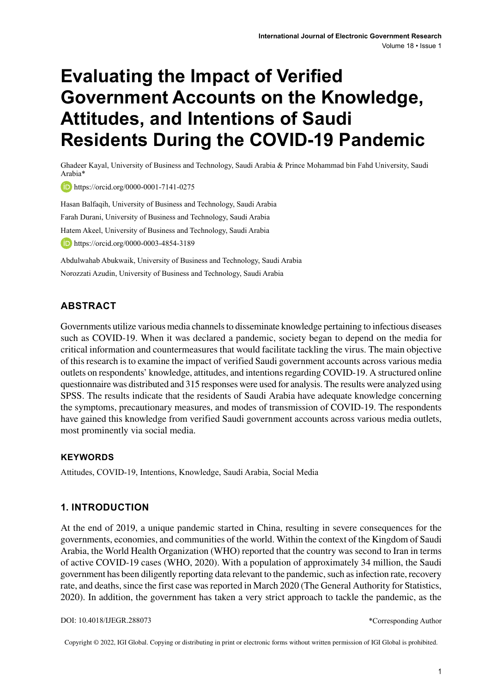# **Evaluating the Impact of Verified Government Accounts on the Knowledge, Attitudes, and Intentions of Saudi Residents During the COVID-19 Pandemic**

Ghadeer Kayal, University of Business and Technology, Saudi Arabia & Prince Mohammad bin Fahd University, Saudi Arabia\*

**iD** https://orcid.org/0000-0001-7141-0275

Hasan Balfaqih, University of Business and Technology, Saudi Arabia Farah Durani, University of Business and Technology, Saudi Arabia Hatem Akeel, University of Business and Technology, Saudi Arabia **b** https://orcid.org/0000-0003-4854-3189

Abdulwahab Abukwaik, University of Business and Technology, Saudi Arabia Norozzati Azudin, University of Business and Technology, Saudi Arabia

## **ABSTRACT**

Governments utilize various media channels to disseminate knowledge pertaining to infectious diseases such as COVID-19. When it was declared a pandemic, society began to depend on the media for critical information and countermeasures that would facilitate tackling the virus. The main objective of thisresearch isto examine the impact of verified Saudi government accounts across various media outlets on respondents' knowledge, attitudes, and intentionsregarding COVID-19. A structured online questionnaire was distributed and 315 responses were used for analysis. The results were analyzed using SPSS. The results indicate that the residents of Saudi Arabia have adequate knowledge concerning the symptoms, precautionary measures, and modes of transmission of COVID-19. The respondents have gained this knowledge from verified Saudi government accounts across various media outlets, most prominently via social media.

## **Keywords**

Attitudes, COVID-19, Intentions, Knowledge, Saudi Arabia, Social Media

## **1. INTRODUCTION**

At the end of 2019, a unique pandemic started in China, resulting in severe consequences for the governments, economies, and communities of the world. Within the context of the Kingdom of Saudi Arabia, the World Health Organization (WHO) reported that the country was second to Iran in terms of active COVID-19 cases (WHO, 2020). With a population of approximately 34 million, the Saudi government has been diligently reporting data relevant to the pandemic, such as infection rate, recovery rate, and deaths, since the first case was reported in March 2020 (The General Authority for Statistics, 2020). In addition, the government has taken a very strict approach to tackle the pandemic, as the

DOI: 10.4018/IJEGR.288073

Copyright © 2022, IGI Global. Copying or distributing in print or electronic forms without written permission of IGI Global is prohibited.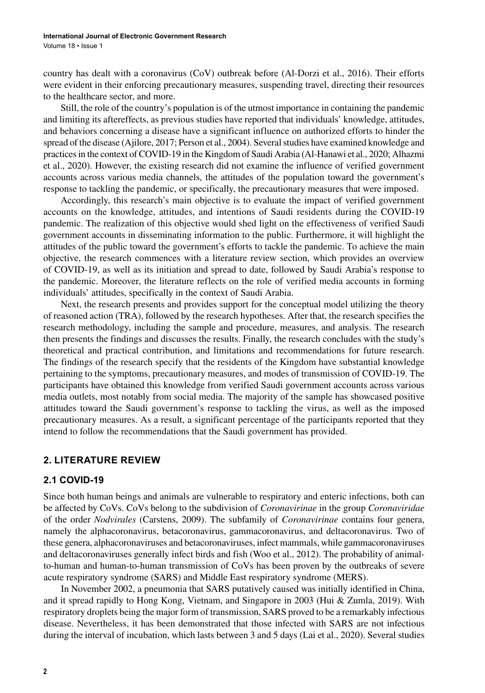country has dealt with a coronavirus (CoV) outbreak before (Al-Dorzi et al., 2016). Their efforts were evident in their enforcing precautionary measures, suspending travel, directing their resources to the healthcare sector, and more.

Still, the role of the country's population is of the utmost importance in containing the pandemic and limiting its aftereffects, as previous studies have reported that individuals' knowledge, attitudes, and behaviors concerning a disease have a significant influence on authorized efforts to hinder the spread of the disease (Ajilore, 2017; Person et al., 2004). Severalstudies have examined knowledge and practicesin the context ofCOVID-19 in the Kingdom of Saudi Arabia (Al-Hanawi et al., 2020; Alhazmi et al., 2020). However, the existing research did not examine the influence of verified government accounts across various media channels, the attitudes of the population toward the government's response to tackling the pandemic, or specifically, the precautionary measures that were imposed.

Accordingly, this research's main objective is to evaluate the impact of verified government accounts on the knowledge, attitudes, and intentions of Saudi residents during the COVID-19 pandemic. The realization of this objective would shed light on the effectiveness of verified Saudi government accounts in disseminating information to the public. Furthermore, it will highlight the attitudes of the public toward the government's efforts to tackle the pandemic. To achieve the main objective, the research commences with a literature review section, which provides an overview of COVID-19, as well as its initiation and spread to date, followed by Saudi Arabia's response to the pandemic. Moreover, the literature reflects on the role of verified media accounts in forming individuals' attitudes, specifically in the context of Saudi Arabia.

Next, the research presents and provides support for the conceptual model utilizing the theory of reasoned action (TRA), followed by the research hypotheses. After that, the research specifies the research methodology, including the sample and procedure, measures, and analysis. The research then presents the findings and discusses the results. Finally, the research concludes with the study's theoretical and practical contribution, and limitations and recommendations for future research. The findings of the research specify that the residents of the Kingdom have substantial knowledge pertaining to the symptoms, precautionary measures, and modes of transmission of COVID-19. The participants have obtained this knowledge from verified Saudi government accounts across various media outlets, most notably from social media. The majority of the sample has showcased positive attitudes toward the Saudi government's response to tackling the virus, as well as the imposed precautionary measures. As a result, a significant percentage of the participants reported that they intend to follow the recommendations that the Saudi government has provided.

## **2. LITERATURE REVIEW**

#### **2.1 COVID-19**

Since both human beings and animals are vulnerable to respiratory and enteric infections, both can be affected by CoVs. CoVs belong to the subdivision of *Coronavirinae* in the group *Coronaviridae* of the order *Nodvirales* (Carstens, 2009). The subfamily of *Coronavirinae* contains four genera, namely the alphacoronavirus, betacoronavirus, gammacoronavirus, and deltacoronavirus. Two of these genera, alphacoronaviruses and betacoronaviruses, infect mammals, while gammacoronaviruses and deltacoronaviruses generally infect birds and fish (Woo et al., 2012). The probability of animalto-human and human-to-human transmission of CoVs has been proven by the outbreaks of severe acute respiratory syndrome (SARS) and Middle East respiratory syndrome (MERS).

In November 2002, a pneumonia that SARS putatively caused was initially identified in China, and it spread rapidly to Hong Kong, Vietnam, and Singapore in 2003 (Hui & Zumla, 2019). With respiratory droplets being the major form of transmission, SARS proved to be a remarkably infectious disease. Nevertheless, it has been demonstrated that those infected with SARS are not infectious during the interval of incubation, which lasts between 3 and 5 days (Lai et al., 2020). Several studies